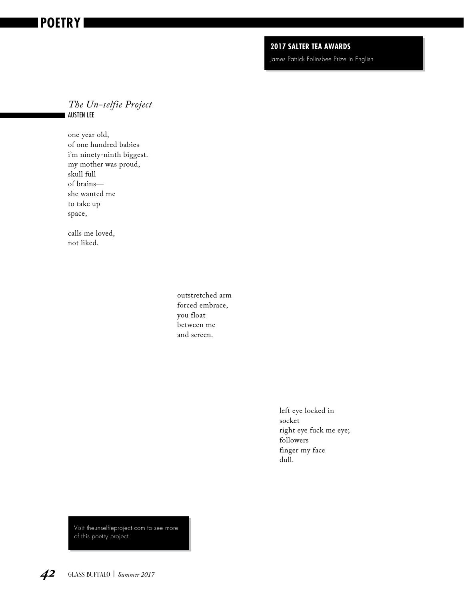## **2017 SALTER TEA AWARDS**

James Patrick Folinsbee Prize in English

## *The Un-selfie Project* AUSTEN LEE

one year old, of one hundred babies i'm ninety-ninth biggest. my mother was proud, skull full of brains she wanted me to take up space,

calls me loved, not liked.

> outstretched arm forced embrace, you float between me and screen.

> > left eye locked in socket right eye fuck me eye; followers finger my face dull.

Visit theunselfieproject.com to see more of this poetry project.

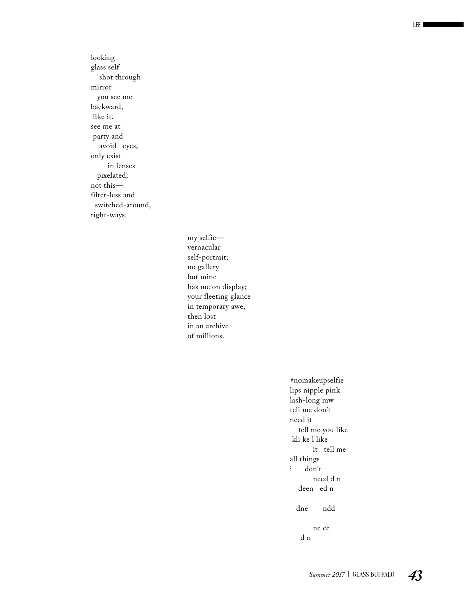looking glass self shot through mirror you see me backward, like it. see me at party and avoid eyes, only exist in lenses pixelated, not this filter-less and switched-around, right-ways.

> my selfie vernacular self-portrait; no gallery but mine has me on display; your fleeting glance in temporary awe, then lost in an archive of millions.

> > #nomakeupselfie lips nipple pink lash-long raw tell me don't need it tell me you like kli ke l like it tell me all things<br>i don't don't need d n deen ed n dne ndd ne ee d n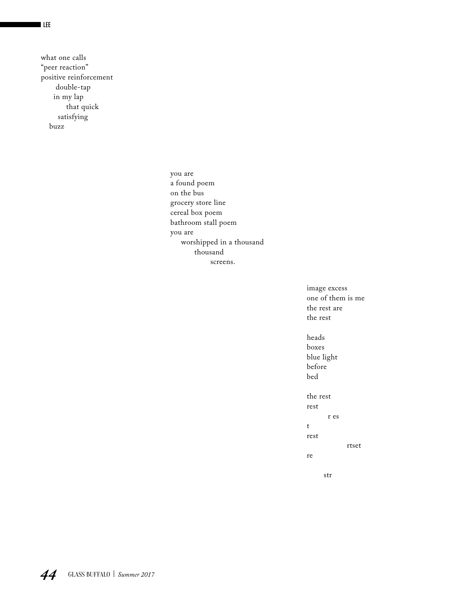what one calls "peer reaction" positive reinforcement double-tap in my lap that quick satisfying buzz

> you are a found poem on the bus grocery store line cereal box poem bathroom stall poem you are worshipped in a thousand thousand screens.

> > image excess one of them is me the rest are the rest

heads boxes blue light before bed the rest rest r es t

rest

rtset

re

str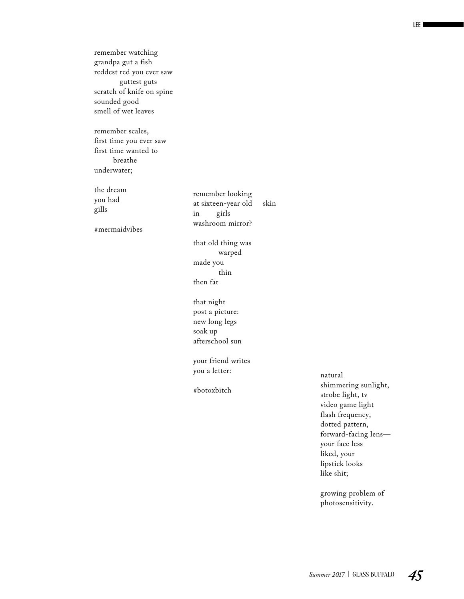remember watching grandpa gut a fish reddest red you ever saw guttest guts scratch of knife on spine sounded good smell of wet leaves

remember scales, first time you ever saw first time wanted to breathe underwater;

the dream you had gills

#mermaidvibes

remember looking at sixteen-year old skin in girls washroom mirror?

that old thing was warped made you thin then fat

that night post a picture: new long legs soak up afterschool sun

your friend writes you a letter:

#botoxbitch

natural shimmering sunlight, strobe light, tv video game light flash frequency, dotted pattern, forward-facing lens your face less liked, your lipstick looks like shit;

growing problem of photosensitivity.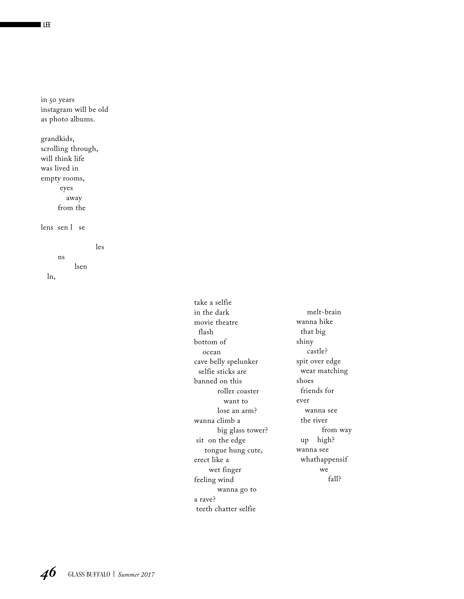in 50 years instagram will be old as photo albums.

grandkids, scrolling through, will think life was lived in empty rooms, eyes away from the

lens sen l se

 les ns lsen ln,

> take a selfie in the dark movie theatre flash bottom of ocean cave belly spelunker selfie sticks are banned on this roller coaster want to lose an arm? wanna climb a big glass tower? sit on the edge tongue hung cute, erect like a wet finger feeling wind wanna go to a rave? teeth chatter selfie

 melt-brain wanna hike that big shiny castle? spit over edge wear matching shoes friends for ever wanna see the river from way up high? wanna see whathappensif we fall?